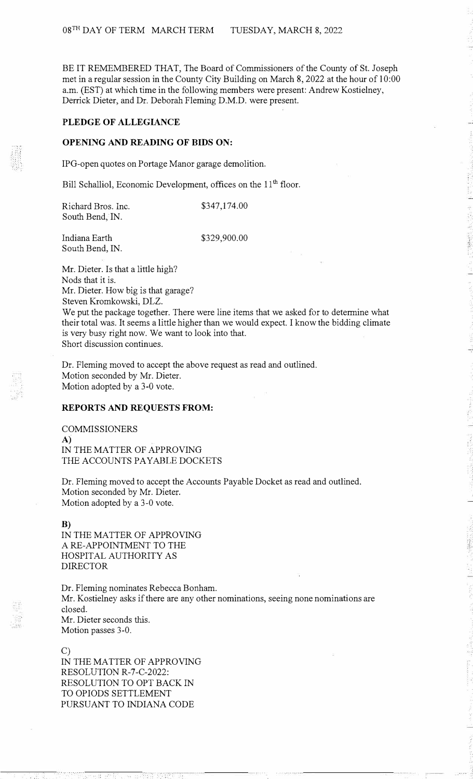BE IT REMEMBERED THAT, The Board of Commissioners of the County of St. Joseph met in a regular session in the County City Building on March 8, 2022 at the hour of 10:00 a.m. (EST) at which time in the following members were present: Andrew Kostielney, Derrick Dieter, and Dr. Deborah Fleming D.M.D. were present.

# **PLEDGE OF ALLEGIANCE**

## **OPENING AND READING OF BIDS ON:**

IPG-open quotes on Portage Manor garage demolition.

Bill Schalliol, Economic Development, offices on the 11<sup>th</sup> floor.

Richard Bros. Inc. South Bend, IN.

\$347,174.00

Indiana Earth South Bend, IN. \$329,900.00

Mr. Dieter. Is that a little high? Nods that it is. Mr. Dieter. How big is that garage? Steven Kromkowski, DLZ. We put the package together. There were line items that we asked for to determine what their total was. It seems a little higher than we would expect. I know the bidding climate is very busy right now. We want to look into that. Short discussion continues.

Dr. Fleming moved to accept the above request as read and outlined. Motion seconded by Mr. Dieter. Motion adopted by a 3-0 vote.

## **REPORTS AND REQUESTS FROM:**

COMMISSIONERS **A)**  IN THE MATTER OF APPROVING THE ACCOUNTS PAYABLE DOCKETS

Dr. Fleming moved to accept the Accounts Payable Docket as read and outlined. Motion seconded by Mr. Dieter. Motion adopted by a 3-0 vote.

**B)** 

IN THE MATTER OF APPROVING A RE-APPOINTMENT TO THE HOSPITAL AUTHORITY AS DIRECTOR

Dr. Fleming nominates Rebecca Bonham. Mr. Kostielney asks if there are any other nominations, seeing none nominations are closed. Mr. Dieter seconds this. Motion passes 3-0.

C) IN THE MATTER OF APPROVING RESOLUTION R-7-C-2022: RESOLUTION TO OPT BACK IN TO OPIODS SETTLEMENT PURSUANT TO INDIANA CODE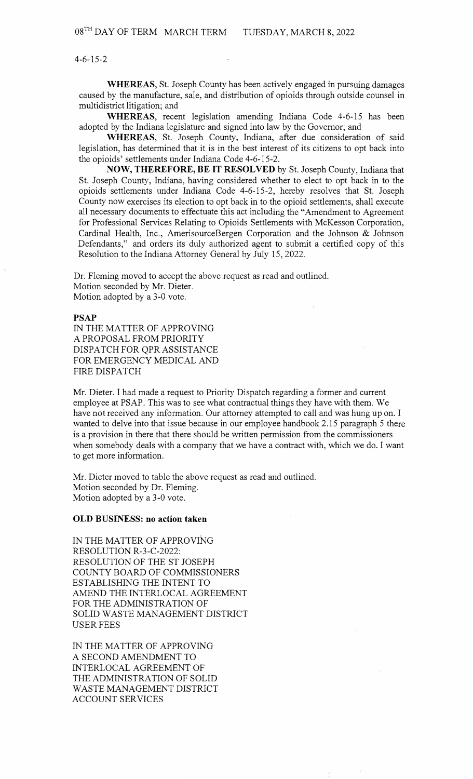4-6-15-2

**WHEREAS,** St. Joseph County has been actively engaged in pursuing damages caused by the manufacture, sale, and distribution of opioids through outside counsel in multidistrict litigation; and

**WHEREAS,** recent legislation amending Indiana Code 4-6-15 has been adopted by the Indiana legislature and signed into law by the Governor; and

**WHEREAS,** St. Joseph County, Indiana, after due consideration of said legislation, has determined that it is in the best interest of its citizens to opt back into the opioids' settlements under Indiana Code 4-6-15-2.

**NOW, THEREFORE, BE IT RESOLVED** by St. Joseph County, Indiana that St. Joseph County, Indiana, having considered whether to elect to opt back in to the opioids settlements under Indiana Code 4-6-15-2, hereby resolves that St. Joseph County now exercises its election to opt back in to the opioid settlements, shall execute all necessary documents to effectuate this act including the "Amendment to Agreement for Professional Services Relating to Opioids Settlements with McKesson Corporation, Cardinal Health, Inc., AmerisourceBergen Corporation and the Johnson & Johnson Defendants," and orders its duly authorized agent to submit a certified copy of this Resolution to the Indiana Attorney General by July 15, 2022.

Dr. Fleming moved to accept the above request as read and outlined. Motion seconded by Mr. Dieter. Motion adopted by a 3-0 vote.

# **PSAP**

IN THE MATTER OF APPROVING A PROPOSAL FROM PRIORITY DISPATCH FOR QPR ASSISTANCE FOR EMERGENCY MEDICAL AND FIRE DISPATCH

Mr. Dieter. I had made a request to Priority Dispatch regarding a former and current employee at PSAP. This was to see what contractual things they have with them. We have not received any information. Our attorney attempted to call and was hung up on. I wanted to delve into that issue because in our employee handbook 2.15 paragraph 5 there is a provision in there that there should be written permission from the commissioners when somebody deals with a company that we have a contract with, which we do. I want to get more information.

Mr. Dieter moved to table the above request as read and outlined. Motion seconded by Dr. Fleming. Motion adopted by a 3-0 vote.

#### **OLD BUSINESS: no action taken**

IN THE MATTER OF APPROVING RESOLUTION R-3-C-2022: RESOLUTION OF THE ST JOSEPH COUNTY BOARD OF COMMISSIONERS ESTABLISHING THE INTENT TO AMEND THE INTERLOCAL AGREEMENT FOR THE ADMINISTRATION OF SOLID WASTE MANAGEMENT DISTRICT USER FEES

IN THE MATTER OF APPROVING A SECOND AMENDMENT TO INTERLOCAL AGREEMENT OF THE ADMINISTRATION OF SOLID WASTE MANAGEMENT DISTRICT ACCOUNT SERVICES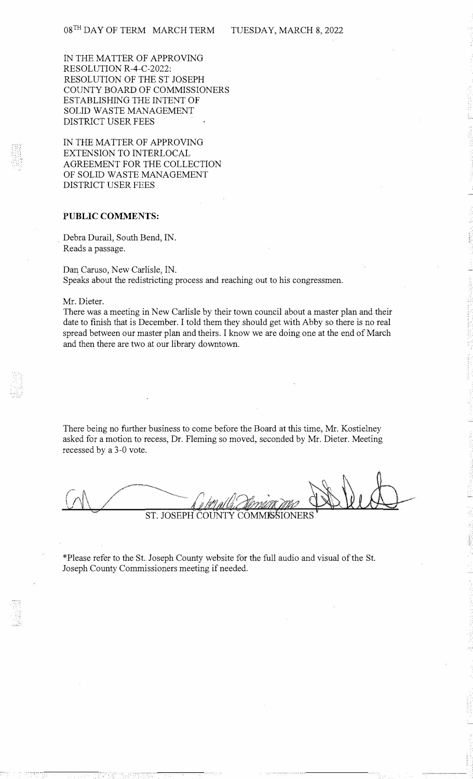IN THE MATTER OF APPROVING RESOLUTION R-4-C-2022: RESOLUTION OF THE ST JOSEPH COUNTY BOARD OF COMMISSIONERS ESTABLISHING THE INTENT OF SOLID WASTE MANAGEMENT DISTRICT USER FEES

IN THE MATTER OF APPROVING EXTENSION TO INTERLOCAL AGREEMENT FOR THE COLLECTION OF SOLID WASTE MANAGEMENT DISTRICT USER FEES

## **PUBLIC COMMENTS:**

Debra Durail, South Bend, IN. Reads a passage.

Dan Caruso, New Carlisle, IN. Speaks about the redistricting process and reaching out to his congressmen.

Mr. Dieter.

There was a meeting in New Carlisle by their town council about a master plan and their date to finish that is December. I told them they should get with Abby so there is no real spread between our master plan and theirs. I know we are doing one at the end of March and then there are two at our library downtown.

There being no further business to come before the Board at this time, Mr. Kostielney asked for a motion to recess, Dr. Fleming so moved, seconded by Mr. Dieter. Meeting recessed by a 3-0 vote.

*(;*  ST. JOSEPH COUNTY **COMMISSION** 

\*Please refer to the St. Joseph County website for the full audio and visual of the St. Joseph County Commissioners meeting if needed.